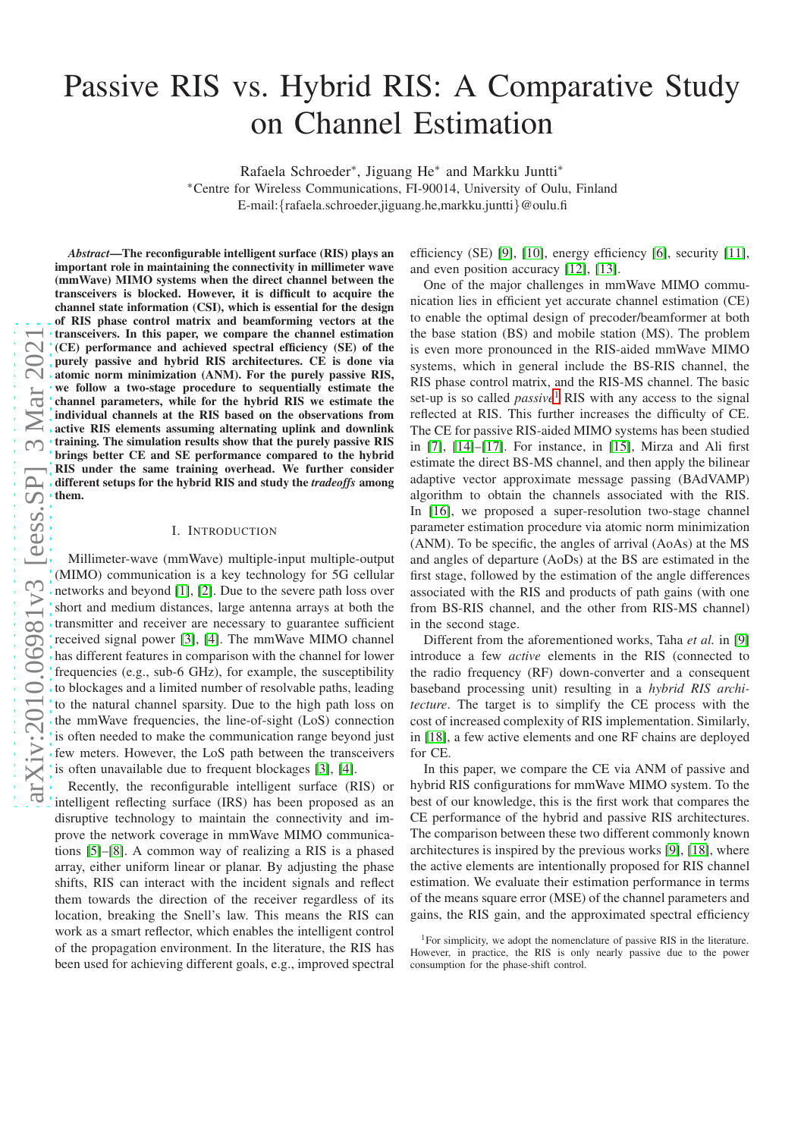# Passive RIS vs. Hybrid RIS: A Comparative Study on Channel Estimation

Rafaela Schroeder<sup>∗</sup> , Jiguang He<sup>∗</sup> and Markku Juntti<sup>∗</sup>

<sup>∗</sup>Centre for Wireless Communications, FI-90014, University of Oulu, Finland E-mail:{rafaela.schroeder,jiguang.he,markku.juntti}@oulu.fi

*Abstract*—The reconfigurable intelligent surface (RIS) plays an important role in maintaining the connectivity in millimeter wave (mmWave) MIMO systems when the direct channel between the transceivers is blocked. However, it is difficult to acquire the channel state information (CSI), which is essential for the design of RIS phase control matrix and beamforming vectors at the transceivers. In this paper, we compare the channel estimation (CE) performance and achieved spectral efficiency (SE) of the purely passive and hybrid RIS architectures. CE is done via atomic norm minimization (ANM). For the purely passive RIS, we follow a two-stage procedure to sequentially estimate the channel parameters, while for the hybrid RIS we estimate the individual channels at the RIS based on the observations from active RIS elements assuming alternating uplink and downlink training. The simulation results show that the purely passive RIS brings better CE and SE performance compared to the hybrid RIS under the same training overhead. We further consider different setups for the hybrid RIS and study the *tradeoffs* among them.

## I. INTRODUCTION

Millimeter-wave (mmWave) multiple-input multiple-output (MIMO) communication is a key technology for 5G cellular networks and beyond [\[1\]](#page-6-0), [\[2\]](#page-6-1). Due to the severe path loss over short and medium distances, large antenna arrays at both the transmitter and receiver are necessary to guarantee sufficient received signal power [\[3\]](#page-6-2), [\[4\]](#page-6-3). The mmWave MIMO channel has different features in comparison with the channel for lower frequencies (e.g., sub-6 GHz), for example, the susceptibility to blockages and a limited number of resolvable paths, leading to the natural channel sparsity. Due to the high path loss on the mmWave frequencies, the line-of-sight (LoS) connection is often needed to make the communication range beyond just few meters. However, the LoS path between the transceivers is often unavailable due to frequent blockages [\[3\]](#page-6-2), [\[4\]](#page-6-3).

Recently, the reconfigurable intelligent surface (RIS) or intelligent reflecting surface (IRS) has been proposed as an disruptive technology to maintain the connectivity and improve the network coverage in mmWave MIMO communications [\[5\]](#page-6-4)–[\[8\]](#page-6-5). A common way of realizing a RIS is a phased array, either uniform linear or planar. By adjusting the phase shifts, RIS can interact with the incident signals and reflect them towards the direction of the receiver regardless of its location, breaking the Snell's law. This means the RIS can work as a smart reflector, which enables the intelligent control of the propagation environment. In the literature, the RIS has been used for achieving different goals, e.g., improved spectral efficiency (SE) [\[9\]](#page-6-6), [\[10\]](#page-6-7), energy efficiency [\[6\]](#page-6-8), security [\[11\]](#page-6-9), and even position accuracy [\[12\]](#page-6-10), [\[13\]](#page-6-11).

One of the major challenges in mmWave MIMO communication lies in efficient yet accurate channel estimation (CE) to enable the optimal design of precoder/beamformer at both the base station (BS) and mobile station (MS). The problem is even more pronounced in the RIS-aided mmWave MIMO systems, which in general include the BS-RIS channel, the RIS phase control matrix, and the RIS-MS channel. The basic set-up is so called *passive*<sup>[1](#page-0-0)</sup> RIS with any access to the signal reflected at RIS. This further increases the difficulty of CE. The CE for passive RIS-aided MIMO systems has been studied in [\[7\]](#page-6-12), [\[14\]](#page-6-13)–[\[17\]](#page-6-14). For instance, in [\[15\]](#page-6-15), Mirza and Ali first estimate the direct BS-MS channel, and then apply the bilinear adaptive vector approximate message passing (BAdVAMP) algorithm to obtain the channels associated with the RIS. In [\[16\]](#page-6-16), we proposed a super-resolution two-stage channel parameter estimation procedure via atomic norm minimization (ANM). To be specific, the angles of arrival (AoAs) at the MS and angles of departure (AoDs) at the BS are estimated in the first stage, followed by the estimation of the angle differences associated with the RIS and products of path gains (with one from BS-RIS channel, and the other from RIS-MS channel) in the second stage.

Different from the aforementioned works, Taha *et al.* in [\[9\]](#page-6-6) introduce a few *active* elements in the RIS (connected to the radio frequency (RF) down-converter and a consequent baseband processing unit) resulting in a *hybrid RIS architecture*. The target is to simplify the CE process with the cost of increased complexity of RIS implementation. Similarly, in [\[18\]](#page-6-17), a few active elements and one RF chains are deployed for CE.

In this paper, we compare the CE via ANM of passive and hybrid RIS configurations for mmWave MIMO system. To the best of our knowledge, this is the first work that compares the CE performance of the hybrid and passive RIS architectures. The comparison between these two different commonly known architectures is inspired by the previous works [\[9\]](#page-6-6), [\[18\]](#page-6-17), where the active elements are intentionally proposed for RIS channel estimation. We evaluate their estimation performance in terms of the means square error (MSE) of the channel parameters and gains, the RIS gain, and the approximated spectral efficiency

<span id="page-0-0"></span><sup>&</sup>lt;sup>1</sup>For simplicity, we adopt the nomenclature of passive RIS in the literature. However, in practice, the RIS is only nearly passive due to the power consumption for the phase-shift control.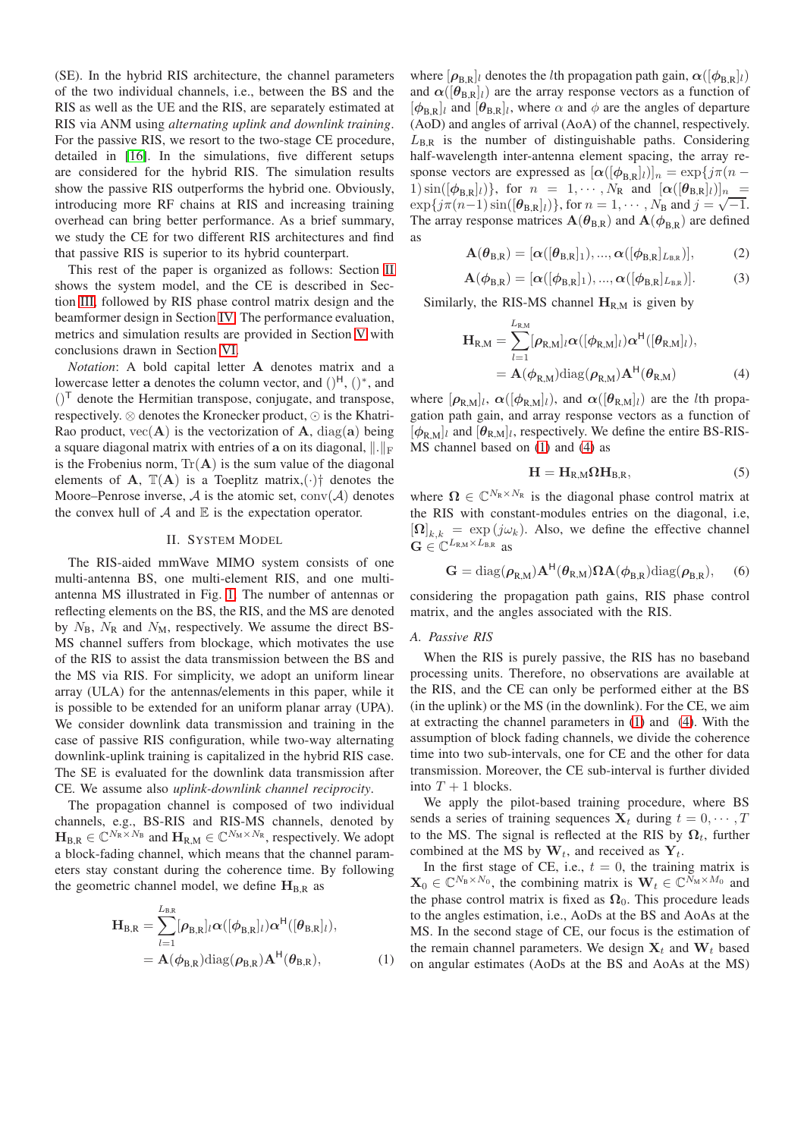(SE). In the hybrid RIS architecture, the channel parameters of the two individual channels, i.e., between the BS and the RIS as well as the UE and the RIS, are separately estimated at RIS via ANM using *alternating uplink and downlink training*. For the passive RIS, we resort to the two-stage CE procedure, detailed in [\[16\]](#page-6-16). In the simulations, five different setups are considered for the hybrid RIS. The simulation results show the passive RIS outperforms the hybrid one. Obviously, introducing more RF chains at RIS and increasing training overhead can bring better performance. As a brief summary, we study the CE for two different RIS architectures and find that passive RIS is superior to its hybrid counterpart.

This rest of the paper is organized as follows: Section [II](#page-1-0) shows the system model, and the CE is described in Section [III,](#page-2-0) followed by RIS phase control matrix design and the beamformer design in Section [IV.](#page-3-0) The performance evaluation, metrics and simulation results are provided in Section [V](#page-4-0) with conclusions drawn in Section [VI.](#page-5-0)

*Notation*: A bold capital letter A denotes matrix and a lowercase letter a denotes the column vector, and  $()^H$ ,  $()^*$ , and  $()^{\mathsf{T}}$  denote the Hermitian transpose, conjugate, and transpose, respectively. ⊗ denotes the Kronecker product, ⊙ is the Khatri-Rao product,  $vec(A)$  is the vectorization of A, diag(a) being a square diagonal matrix with entries of a on its diagonal,  $\Vert . \Vert_F$ is the Frobenius norm,  $Tr(A)$  is the sum value of the diagonal elements of A,  $\mathbb{T}(A)$  is a Toeplitz matrix, ( $\cdot$ )<sup>†</sup> denotes the Moore–Penrose inverse,  $A$  is the atomic set, conv $(A)$  denotes the convex hull of  $A$  and  $E$  is the expectation operator.

## II. SYSTEM MODEL

<span id="page-1-0"></span>The RIS-aided mmWave MIMO system consists of one multi-antenna BS, one multi-element RIS, and one multiantenna MS illustrated in Fig. [1.](#page-2-1) The number of antennas or reflecting elements on the BS, the RIS, and the MS are denoted by  $N_B$ ,  $N_R$  and  $N_M$ , respectively. We assume the direct BS-MS channel suffers from blockage, which motivates the use of the RIS to assist the data transmission between the BS and the MS via RIS. For simplicity, we adopt an uniform linear array (ULA) for the antennas/elements in this paper, while it is possible to be extended for an uniform planar array (UPA). We consider downlink data transmission and training in the case of passive RIS configuration, while two-way alternating downlink-uplink training is capitalized in the hybrid RIS case. The SE is evaluated for the downlink data transmission after CE. We assume also *uplink-downlink channel reciprocity*.

The propagation channel is composed of two individual channels, e.g., BS-RIS and RIS-MS channels, denoted by  $\mathbf{H}_{\text{B,R}} \in \mathbb{C}^{N_{\text{R}} \times N_{\text{B}}}$  and  $\mathbf{H}_{\text{R,M}} \in \mathbb{C}^{N_{\text{M}} \times N_{\text{R}}}$ , respectively. We adopt a block-fading channel, which means that the channel parameters stay constant during the coherence time. By following the geometric channel model, we define  $H_{B,R}$  as

$$
\mathbf{H}_{\mathrm{B,R}} = \sum_{l=1}^{L_{\mathrm{B,R}}} [\rho_{\mathrm{B,R}}]_l \alpha([\phi_{\mathrm{B,R}}]_l) \alpha^{\mathrm{H}}([\theta_{\mathrm{B,R}}]_l),
$$
  
=  $\mathbf{A}(\phi_{\mathrm{B,R}}) \text{diag}(\rho_{\mathrm{B,R}}) \mathbf{A}^{\mathrm{H}}(\theta_{\mathrm{B,R}}),$  (1)

where  $[\rho_{B,R}]_l$  denotes the *l*th propagation path gain,  $\alpha([\phi_{B,R}]_l)$ and  $\alpha([\theta_{B,R}]_l)$  are the array response vectors as a function of  $[\phi_{B,R}]_l$  and  $[\theta_{B,R}]_l$ , where  $\alpha$  and  $\phi$  are the angles of departure (AoD) and angles of arrival (AoA) of the channel, respectively.  $L_{\text{B,R}}$  is the number of distinguishable paths. Considering half-wavelength inter-antenna element spacing, the array response vectors are expressed as  $[\alpha([\phi_{BR}]_l)]_n = \exp\{j\pi(n -$ 1)  $\sin([\phi_{B,R}]_l)$ , for  $n = 1, \dots, N_R$  and  $[\alpha([\theta_{B,R}]_l)]_n$  =  $\exp{\{j\pi(n-1)\sin([\theta_{B,R}]_l)\}},$  for  $n = 1, \dots, N_B$  and  $j = \sqrt{-1}$ . The array response matrices  $\mathbf{A}(\theta_{\text{B,R}})$  and  $\mathbf{A}(\phi_{\text{B,R}})$  are defined as

$$
\mathbf{A}(\boldsymbol{\theta}_{\text{B,R}}) = [\boldsymbol{\alpha}([\boldsymbol{\theta}_{\text{B,R}}]_1), ..., \boldsymbol{\alpha}([\boldsymbol{\phi}_{\text{B,R}}]_{L_{\text{B,R}}})],
$$
(2)

$$
\mathbf{A}(\boldsymbol{\phi}_{\mathrm{B,R}}) = [\boldsymbol{\alpha}([\boldsymbol{\phi}_{\mathrm{B,R}}]_1), ..., \boldsymbol{\alpha}([\boldsymbol{\phi}_{\mathrm{B,R}}]_{L_{\mathrm{B,R}}})]. \tag{3}
$$

Similarly, the RIS-MS channel  $H_{R,M}$  is given by

$$
\mathbf{H}_{\mathrm{R,M}} = \sum_{l=1}^{L_{\mathrm{R,M}}} [\rho_{\mathrm{R,M}}]_l \alpha([\phi_{\mathrm{R,M}}]_l) \alpha^{\mathrm{H}}([\theta_{\mathrm{R,M}}]_l),
$$
  
=  $\mathbf{A}(\phi_{\mathrm{R,M}})$ diag $(\rho_{\mathrm{R,M}})$  $\mathbf{A}^{\mathrm{H}}(\theta_{\mathrm{R,M}})$  (4)

where  $[\rho_{R,M}]_l$ ,  $\alpha([\phi_{R,M}]_l)$ , and  $\alpha([\theta_{R,M}]_l)$  are the *l*th propagation path gain, and array response vectors as a function of  $[\phi_{R,M}]_l$  and  $[\theta_{R,M}]_l$ , respectively. We define the entire BS-RIS-MS channel based on [\(1\)](#page-1-1) and [\(4\)](#page-1-2) as

<span id="page-1-2"></span>
$$
H = H_{R,M}\Omega H_{B,R},\tag{5}
$$

where  $\Omega \in \mathbb{C}^{N_{\mathbb{R}} \times N_{\mathbb{R}}}$  is the diagonal phase control matrix at the RIS with constant-modules entries on the diagonal, i.e,  $\left[\Omega\right]_{k,k} = \exp(j\omega_k)$ . Also, we define the effective channel  $\mathbf{G} \in \mathbb{C}^{L_{\text{R,M}} \times L_{\text{B,R}}}$  as

<span id="page-1-3"></span>
$$
\mathbf{G} = \text{diag}(\boldsymbol{\rho}_{R,M})\mathbf{A}^{\mathsf{H}}(\boldsymbol{\theta}_{R,M})\boldsymbol{\Omega}\mathbf{A}(\boldsymbol{\phi}_{B,R})\text{diag}(\boldsymbol{\rho}_{B,R}),\quad(6)
$$

considering the propagation path gains, RIS phase control matrix, and the angles associated with the RIS.

## *A. Passive RIS*

When the RIS is purely passive, the RIS has no baseband processing units. Therefore, no observations are available at the RIS, and the CE can only be performed either at the BS (in the uplink) or the MS (in the downlink). For the CE, we aim at extracting the channel parameters in [\(1\)](#page-1-1) and [\(4\)](#page-1-2). With the assumption of block fading channels, we divide the coherence time into two sub-intervals, one for CE and the other for data transmission. Moreover, the CE sub-interval is further divided into  $T + 1$  blocks.

We apply the pilot-based training procedure, where BS sends a series of training sequences  $X_t$  during  $t = 0, \dots, T$ to the MS. The signal is reflected at the RIS by  $\Omega_t$ , further combined at the MS by  $W_t$ , and received as  $Y_t$ .

<span id="page-1-1"></span>In the first stage of CE, i.e.,  $t = 0$ , the training matrix is  $\mathbf{X}_0 \in \mathbb{C}^{N_B \times N_0}$ , the combining matrix is  $\mathbf{W}_t \in \mathbb{C}^{\tilde{N}_M \times M_0}$  and the phase control matrix is fixed as  $\Omega_0$ . This procedure leads to the angles estimation, i.e., AoDs at the BS and AoAs at the MS. In the second stage of CE, our focus is the estimation of the remain channel parameters. We design  $X_t$  and  $W_t$  based on angular estimates (AoDs at the BS and AoAs at the MS)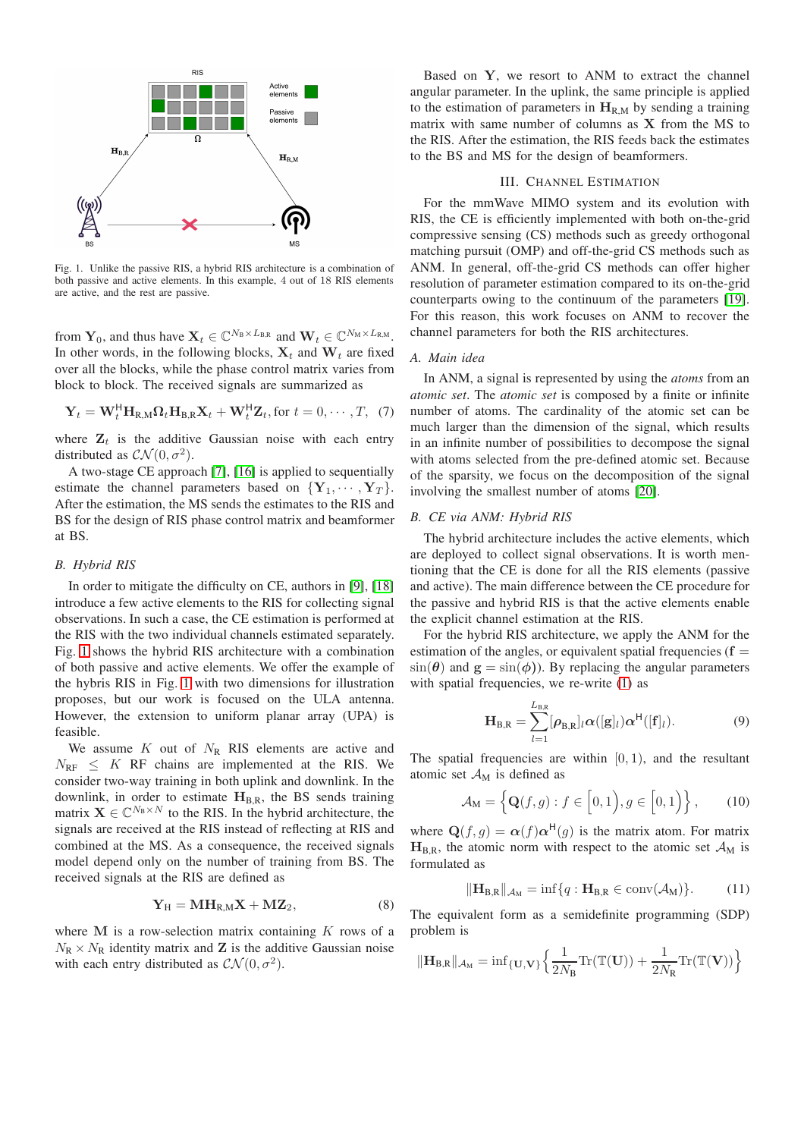

<span id="page-2-1"></span>Fig. 1. Unlike the passive RIS, a hybrid RIS architecture is a combination of both passive and active elements. In this example, 4 out of 18 RIS elements are active, and the rest are passive.

from  $\mathbf{Y}_0$ , and thus have  $\mathbf{X}_t \in \mathbb{C}^{N_B \times L_{BR}}$  and  $\mathbf{W}_t \in \mathbb{C}^{N_M \times L_{RM}}$ . In other words, in the following blocks,  $X_t$  and  $W_t$  are fixed over all the blocks, while the phase control matrix varies from block to block. The received signals are summarized as

$$
\mathbf{Y}_{t} = \mathbf{W}_{t}^{\mathsf{H}} \mathbf{H}_{\mathrm{R,M}} \Omega_{t} \mathbf{H}_{\mathrm{B,R}} \mathbf{X}_{t} + \mathbf{W}_{t}^{\mathsf{H}} \mathbf{Z}_{t}, \text{for } t = 0, \cdots, T, (7)
$$

where  $\mathbf{Z}_t$  is the additive Gaussian noise with each entry distributed as  $\mathcal{CN}(0, \sigma^2)$ .

A two-stage CE approach [\[7\]](#page-6-12), [\[16\]](#page-6-16) is applied to sequentially estimate the channel parameters based on  ${Y_1, \cdots, Y_T}$ . After the estimation, the MS sends the estimates to the RIS and BS for the design of RIS phase control matrix and beamformer at BS.

## *B. Hybrid RIS*

In order to mitigate the difficulty on CE, authors in [\[9\]](#page-6-6), [\[18\]](#page-6-17) introduce a few active elements to the RIS for collecting signal observations. In such a case, the CE estimation is performed at the RIS with the two individual channels estimated separately. Fig. [1](#page-2-1) shows the hybrid RIS architecture with a combination of both passive and active elements. We offer the example of the hybris RIS in Fig. [1](#page-2-1) with two dimensions for illustration proposes, but our work is focused on the ULA antenna. However, the extension to uniform planar array (UPA) is feasible.

We assume  $K$  out of  $N_R$  RIS elements are active and  $N_{\text{RF}} \leq K$  RF chains are implemented at the RIS. We consider two-way training in both uplink and downlink. In the downlink, in order to estimate  $H_{B,R}$ , the BS sends training matrix  $\mathbf{X} \in \mathbb{C}^{N_B \times N}$  to the RIS. In the hybrid architecture, the signals are received at the RIS instead of reflecting at RIS and combined at the MS. As a consequence, the received signals model depend only on the number of training from BS. The received signals at the RIS are defined as

$$
\mathbf{Y}_{\mathrm{H}} = \mathbf{M} \mathbf{H}_{\mathrm{R},\mathrm{M}} \mathbf{X} + \mathbf{M} \mathbf{Z}_{2},\tag{8}
$$

where  $M$  is a row-selection matrix containing  $K$  rows of a  $N_R \times N_R$  identity matrix and **Z** is the additive Gaussian noise with each entry distributed as  $\mathcal{CN}(0, \sigma^2)$ .

Based on Y, we resort to ANM to extract the channel angular parameter. In the uplink, the same principle is applied to the estimation of parameters in  $H_{R,M}$  by sending a training matrix with same number of columns as  $X$  from the MS to the RIS. After the estimation, the RIS feeds back the estimates to the BS and MS for the design of beamformers.

## III. CHANNEL ESTIMATION

<span id="page-2-0"></span>For the mmWave MIMO system and its evolution with RIS, the CE is efficiently implemented with both on-the-grid compressive sensing (CS) methods such as greedy orthogonal matching pursuit (OMP) and off-the-grid CS methods such as ANM. In general, off-the-grid CS methods can offer higher resolution of parameter estimation compared to its on-the-grid counterparts owing to the continuum of the parameters [\[19\]](#page-6-18). For this reason, this work focuses on ANM to recover the channel parameters for both the RIS architectures.

## *A. Main idea*

In ANM, a signal is represented by using the *atoms* from an *atomic set*. The *atomic set* is composed by a finite or infinite number of atoms. The cardinality of the atomic set can be much larger than the dimension of the signal, which results in an infinite number of possibilities to decompose the signal with atoms selected from the pre-defined atomic set. Because of the sparsity, we focus on the decomposition of the signal involving the smallest number of atoms [\[20\]](#page-6-19).

## *B. CE via ANM: Hybrid RIS*

The hybrid architecture includes the active elements, which are deployed to collect signal observations. It is worth mentioning that the CE is done for all the RIS elements (passive and active). The main difference between the CE procedure for the passive and hybrid RIS is that the active elements enable the explicit channel estimation at the RIS.

For the hybrid RIS architecture, we apply the ANM for the estimation of the angles, or equivalent spatial frequencies ( $f =$  $\sin(\theta)$  and  $g = \sin(\phi)$ ). By replacing the angular parameters with spatial frequencies, we re-write [\(1\)](#page-1-1) as

$$
\mathbf{H}_{\mathrm{B,R}} = \sum_{l=1}^{L_{\mathrm{B,R}}} [\rho_{\mathrm{B,R}}]_l \alpha([\mathbf{g}]_l) \alpha^{\mathrm{H}}([\mathbf{f}]_l).
$$
 (9)

The spatial frequencies are within  $[0, 1)$ , and the resultant atomic set  $\mathcal{A}_M$  is defined as

$$
\mathcal{A}_{\mathbf{M}} = \left\{ \mathbf{Q}(f,g) : f \in [0,1), g \in [0,1) \right\},\qquad(10)
$$

where  $\mathbf{Q}(f,g) = \alpha(f)\alpha^{\mathsf{H}}(g)$  is the matrix atom. For matrix  $H_{B,R}$ , the atomic norm with respect to the atomic set  $\mathcal{A}_{M}$  is formulated as

$$
\|\mathbf{H}_{\text{B,R}}\|_{\mathcal{A}_{\text{M}}} = \inf\{q : \mathbf{H}_{\text{B,R}} \in \text{conv}(\mathcal{A}_{\text{M}})\}.
$$
 (11)

The equivalent form as a semidefinite programming (SDP) problem is

$$
\|\mathbf{H}_{B,R}\|_{\mathcal{A}_M} = \mathrm{inf}_{\{\mathbf{U},\mathbf{V}\}} \Big\{\frac{1}{2N_B}\mathrm{Tr}(\mathbb{T}(\mathbf{U})) + \frac{1}{2N_R}\mathrm{Tr}(\mathbb{T}(\mathbf{V}))\Big\}
$$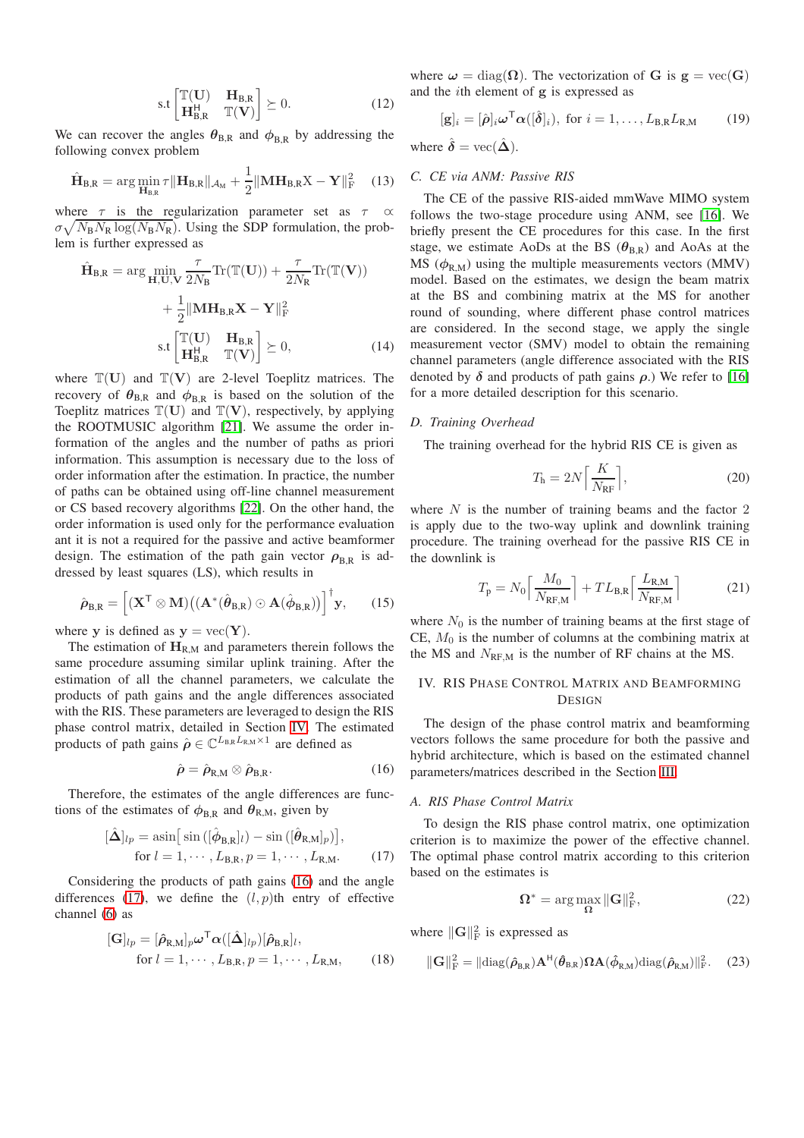$$
\text{s.t}\begin{bmatrix} \mathbb{T}(\mathbf{U}) & \mathbf{H}_{\text{B,R}} \\ \mathbf{H}_{\text{B,R}}^{\mathsf{H}} & \mathbb{T}(\mathbf{V}) \end{bmatrix} \succeq 0. \tag{12}
$$

We can recover the angles  $\theta_{\text{B,R}}$  and  $\phi_{\text{B,R}}$  by addressing the following convex problem

$$
\hat{\mathbf{H}}_{\text{B,R}} = \arg\min_{\mathbf{H}_{\text{B,R}}} \tau \|\mathbf{H}_{\text{B,R}}\|_{\mathcal{A}_{\text{M}}} + \frac{1}{2} \|\mathbf{M}\mathbf{H}_{\text{B,R}}\mathbf{X} - \mathbf{Y}\|_{\text{F}}^2 \quad (13)
$$

where  $\tau$  is the regularization parameter set as  $\tau$  $\sigma \sqrt{N_B N_R \log(N_B N_R)}$ . Using the SDP formulation, the problem is further expressed as

$$
\hat{\mathbf{H}}_{B,R} = \arg \min_{\mathbf{H}, \mathbf{U}, \mathbf{V}} \frac{\tau}{2N_B} \text{Tr}(\mathbb{T}(\mathbf{U})) + \frac{\tau}{2N_R} \text{Tr}(\mathbb{T}(\mathbf{V})) \n+ \frac{1}{2} ||\mathbf{M} \mathbf{H}_{B,R} \mathbf{X} - \mathbf{Y}||_F^2 \ns.t\n\begin{bmatrix} \mathbb{T}(\mathbf{U}) & \mathbf{H}_{B,R} \\ \mathbf{H}_{B,R}^H & \mathbb{T}(\mathbf{V}) \end{bmatrix} \succeq 0,
$$
\n(14)

where  $\mathbb{T}(\mathbf{U})$  and  $\mathbb{T}(\mathbf{V})$  are 2-level Toeplitz matrices. The recovery of  $\theta_{B,R}$  and  $\phi_{B,R}$  is based on the solution of the Toeplitz matrices  $\mathbb{T}(\mathbf{U})$  and  $\mathbb{T}(\mathbf{V})$ , respectively, by applying the ROOTMUSIC algorithm [\[21\]](#page-6-20). We assume the order information of the angles and the number of paths as priori information. This assumption is necessary due to the loss of order information after the estimation. In practice, the number of paths can be obtained using off-line channel measurement or CS based recovery algorithms [\[22\]](#page-6-21). On the other hand, the order information is used only for the performance evaluation ant it is not a required for the passive and active beamformer design. The estimation of the path gain vector  $\rho_{BR}$  is addressed by least squares (LS), which results in

$$
\hat{\boldsymbol{\rho}}_{\text{B,R}} = \left[ (\mathbf{X}^{\mathsf{T}} \otimes \mathbf{M}) ((\mathbf{A}^*(\hat{\boldsymbol{\theta}}_{\text{B,R}}) \odot \mathbf{A}(\hat{\boldsymbol{\phi}}_{\text{B,R}}))]^{\mathsf{T}} \mathbf{y}, \qquad (15)
$$

where y is defined as  $y = vec(Y)$ .

The estimation of  $H_{R,M}$  and parameters therein follows the same procedure assuming similar uplink training. After the estimation of all the channel parameters, we calculate the products of path gains and the angle differences associated with the RIS. These parameters are leveraged to design the RIS phase control matrix, detailed in Section [IV.](#page-3-0) The estimated products of path gains  $\hat{\rho} \in \mathbb{C}^{L_{\text{B,R}}L_{\text{R,M}}\times 1}$  are defined as

<span id="page-3-1"></span>
$$
\hat{\rho} = \hat{\rho}_{R,M} \otimes \hat{\rho}_{B,R}.
$$
\n(16)

Therefore, the estimates of the angle differences are functions of the estimates of  $\phi_{\text{B,R}}$  and  $\theta_{\text{R,M}}$ , given by

$$
[\hat{\mathbf{\Delta}}]_{lp} = \operatorname{asin}\left[\sin\left([\hat{\boldsymbol{\phi}}_{\mathbf{B},\mathbf{R}}]_l\right) - \sin\left([\hat{\boldsymbol{\theta}}_{\mathbf{R},\mathbf{M}}]_p\right)\right],
$$
  
for  $l = 1, \dots, L_{\mathbf{B},\mathbf{R}}, p = 1, \dots, L_{\mathbf{R},\mathbf{M}}.$  (17)

Considering the products of path gains [\(16\)](#page-3-1) and the angle differences [\(17\)](#page-3-2), we define the  $(l, p)$ th entry of effective channel [\(6\)](#page-1-3) as

$$
[\mathbf{G}]_{lp} = [\hat{\rho}_{\mathrm{R},\mathrm{M}}]_{p} \boldsymbol{\omega}^{\mathrm{T}} \boldsymbol{\alpha}([\hat{\boldsymbol{\Delta}}]_{lp}) [\hat{\rho}_{\mathrm{B},\mathrm{R}}]_{l},
$$
  
for  $l = 1, \cdots, L_{\mathrm{B},\mathrm{R}}, p = 1, \cdots, L_{\mathrm{R},\mathrm{M}},$  (18)

where  $\omega = \text{diag}(\Omega)$ . The vectorization of G is  $g = \text{vec}(G)$ and the ith element of g is expressed as

$$
[\mathbf{g}]_i = [\hat{\boldsymbol{\rho}}]_i \boldsymbol{\omega}^{\mathsf{T}} \boldsymbol{\alpha}([\hat{\boldsymbol{\delta}}]_i), \text{ for } i = 1, \dots, L_{\text{B,R}} L_{\text{R,M}} \qquad (19)
$$

where  $\hat{\delta} = \text{vec}(\hat{\Delta})$ .

## *C. CE via ANM: Passive RIS*

The CE of the passive RIS-aided mmWave MIMO system follows the two-stage procedure using ANM, see [\[16\]](#page-6-16). We briefly present the CE procedures for this case. In the first stage, we estimate AoDs at the BS  $(\theta_{\text{B,R}})$  and AoAs at the MS  $(\phi_{R,M})$  using the multiple measurements vectors (MMV) model. Based on the estimates, we design the beam matrix at the BS and combining matrix at the MS for another round of sounding, where different phase control matrices are considered. In the second stage, we apply the single measurement vector (SMV) model to obtain the remaining channel parameters (angle difference associated with the RIS denoted by  $\delta$  and products of path gains  $\rho$ .) We refer to [\[16\]](#page-6-16) for a more detailed description for this scenario.

## *D. Training Overhead*

The training overhead for the hybrid RIS CE is given as

$$
T_{\rm h} = 2N \left[ \frac{K}{N_{\rm RF}} \right],\tag{20}
$$

where  $N$  is the number of training beams and the factor  $2$ is apply due to the two-way uplink and downlink training procedure. The training overhead for the passive RIS CE in the downlink is

$$
T_{\rm p} = N_0 \left[ \frac{M_0}{N_{\rm RF,M}} \right] + T L_{\rm B,R} \left[ \frac{L_{\rm R,M}}{N_{\rm RF,M}} \right] \tag{21}
$$

where  $N_0$  is the number of training beams at the first stage of CE,  $M_0$  is the number of columns at the combining matrix at the MS and  $N_{RF,M}$  is the number of RF chains at the MS.

## <span id="page-3-0"></span>IV. RIS PHASE CONTROL MATRIX AND BEAMFORMING **DESIGN**

The design of the phase control matrix and beamforming vectors follows the same procedure for both the passive and hybrid architecture, which is based on the estimated channel parameters/matrices described in the Section [III.](#page-2-0)

## *A. RIS Phase Control Matrix*

<span id="page-3-2"></span>To design the RIS phase control matrix, one optimization criterion is to maximize the power of the effective channel. The optimal phase control matrix according to this criterion based on the estimates is

$$
\Omega^* = \arg\max_{\Omega} \|\mathbf{G}\|_{\mathrm{F}}^2,\tag{22}
$$

where  $\|\mathbf{G}\|_{\text{F}}^2$  is expressed as

<span id="page-3-3"></span>
$$
\|\mathbf{G}\|_{\mathrm{F}}^2=\|\mathrm{diag}(\hat{\rho}_{B,R})\mathbf{A}^{\text{H}}(\hat{\theta}_{B,R})\boldsymbol{\Omega}\mathbf{A}(\hat{\phi}_{R,M})\mathrm{diag}(\hat{\rho}_{R,M})\|_{\mathrm{F}}^2. \tag{23}
$$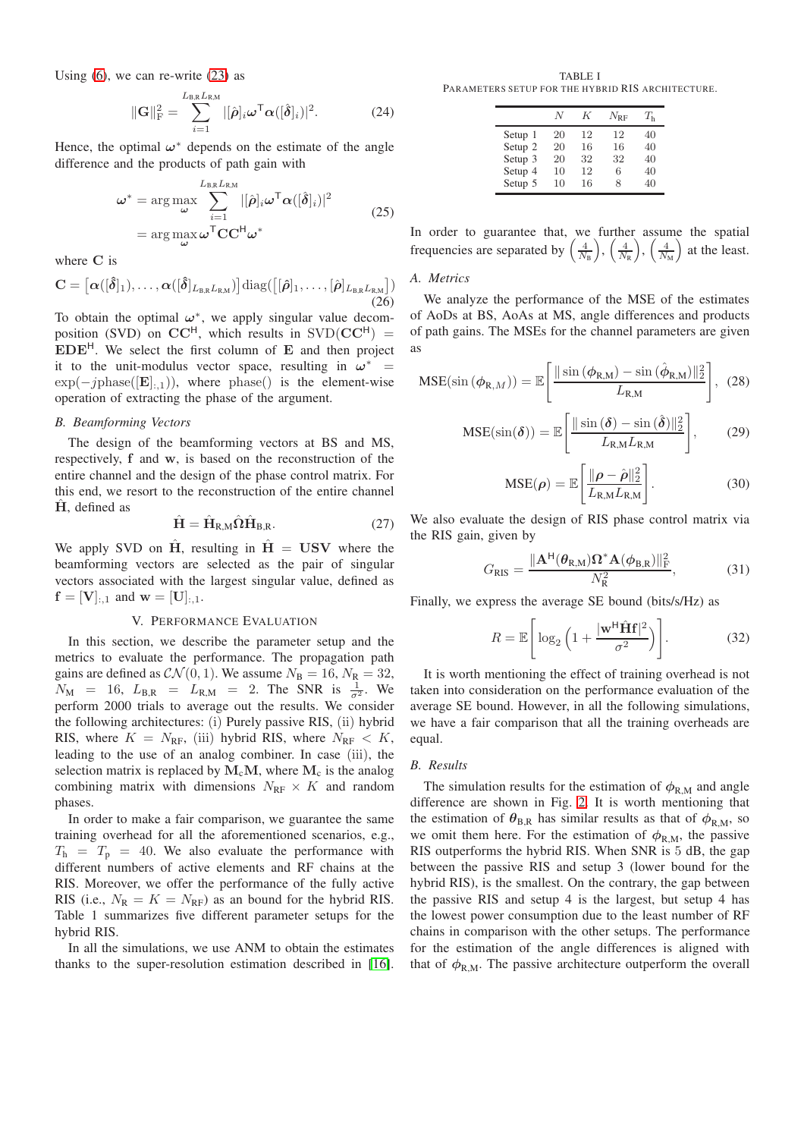Using  $(6)$ , we can re-write  $(23)$  as

$$
\|\mathbf{G}\|_{\mathrm{F}}^2 = \sum_{i=1}^{L_{\mathrm{B,R}}L_{\mathrm{R,M}}} |[\hat{\boldsymbol{\rho}}]_i \boldsymbol{\omega}^{\mathsf{T}} \boldsymbol{\alpha}([\hat{\boldsymbol{\delta}}]_i)|^2.
$$
 (24)

Hence, the optimal  $\omega^*$  depends on the estimate of the angle difference and the products of path gain with

$$
\omega^* = \arg\max_{\omega} \sum_{i=1}^{L_{\text{B,R}}L_{\text{R,M}}} |[\hat{\rho}]_i \omega^{\text{T}} \alpha([\hat{\delta}]_i)|^2
$$
  
= 
$$
\arg\max_{\omega} \omega^{\text{T}} \mathbf{C} \mathbf{C}^{\text{H}} \omega^*
$$
 (25)

where C is

$$
\mathbf{C} = \left[\boldsymbol{\alpha}([\boldsymbol{\hat{\delta}}]_1), \ldots, \boldsymbol{\alpha}([\boldsymbol{\hat{\delta}}]_{L_{\text{B,R}}L_{\text{R,M}}})\right] \text{diag}(\left[[\boldsymbol{\hat{\rho}}]_1, \ldots, [\boldsymbol{\hat{\rho}}]_{L_{\text{B,R}}L_{\text{R,M}}}\right))
$$
(26)

To obtain the optimal  $\omega^*$ , we apply singular value decomposition (SVD) on  $CC^H$ , which results in SVD( $CC^H$ ) = EDEH. We select the first column of E and then project it to the unit-modulus vector space, resulting in  $\omega^*$  =  $\exp(-i\text{phase}([\mathbf{E}|_{\cdot,1}))$ , where phase() is the element-wise operation of extracting the phase of the argument.

## *B. Beamforming Vectors*

The design of the beamforming vectors at BS and MS, respectively, f and w, is based on the reconstruction of the entire channel and the design of the phase control matrix. For this end, we resort to the reconstruction of the entire channel  $\hat{H}$ , defined as

$$
\hat{\mathbf{H}} = \hat{\mathbf{H}}_{\text{R,M}} \hat{\Omega} \hat{\mathbf{H}}_{\text{B,R}}.
$$
 (27)

We apply SVD on  $\hat{H}$ , resulting in  $\hat{H} = USV$  where the beamforming vectors are selected as the pair of singular vectors associated with the largest singular value, defined as  $f = [V]_{:,1}$  and  $w = [U]_{:,1}.$ 

# V. PERFORMANCE EVALUATION

<span id="page-4-0"></span>In this section, we describe the parameter setup and the metrics to evaluate the performance. The propagation path gains are defined as  $CN(0, 1)$ . We assume  $N_B = 16$ ,  $N_R = 32$ ,  $N_{\rm M}$  = 16,  $L_{\rm B,R}$  =  $L_{\rm R,M}$  = 2. The SNR is  $\frac{1}{\sigma^2}$ . We perform 2000 trials to average out the results. We consider the following architectures: (i) Purely passive RIS, (ii) hybrid RIS, where  $K = N_{RF}$ , (iii) hybrid RIS, where  $N_{RF} < K$ , leading to the use of an analog combiner. In case (iii), the selection matrix is replaced by  $M_cM$ , where  $M_c$  is the analog combining matrix with dimensions  $N_{\text{RF}} \times K$  and random phases.

In order to make a fair comparison, we guarantee the same training overhead for all the aforementioned scenarios, e.g.,  $T<sub>h</sub> = T<sub>p</sub> = 40$ . We also evaluate the performance with different numbers of active elements and RF chains at the RIS. Moreover, we offer the performance of the fully active RIS (i.e.,  $N_R = K = N_{RF}$ ) as an bound for the hybrid RIS. Table 1 summarizes five different parameter setups for the hybrid RIS.

In all the simulations, we use ANM to obtain the estimates thanks to the super-resolution estimation described in [\[16\]](#page-6-16).

TABLE I PARAMETERS SETUP FOR THE HYBRID RIS ARCHITECTURE.

|                    | N  | K  | $N_{\rm{RF}}$ | $T_{\rm h}$ |
|--------------------|----|----|---------------|-------------|
| Setup 1            | 20 | 12 | 12            | 40          |
| Setup <sub>2</sub> | 20 | 16 | 16            | 40          |
| Setup 3            | 20 | 32 | 32            | 40          |
| Setup 4            | 10 | 12 | 6             | 40          |
| Setup 5            | 10 | 16 | 8             | 40          |

In order to guarantee that, we further assume the spatial frequencies are separated by  $\left(\frac{4}{N}\right)$  $\frac{4}{N_{\rm B}}\bigg),\,\bigg(\frac{4}{N_{\rm B}}\bigg)$  $\frac{4}{N_{\mathrm{R}}}\bigg),\,\bigg(\frac{4}{N_{\mathrm{R}}}$  $\frac{4}{N_{\rm M}}$  at the least.

## *A. Metrics*

We analyze the performance of the MSE of the estimates of AoDs at BS, AoAs at MS, angle differences and products of path gains. The MSEs for the channel parameters are given as

$$
MSE(\sin{(\phi_{R,M})}) = \mathbb{E}\left[\frac{\|\sin{(\phi_{R,M})} - \sin{(\hat{\phi}_{R,M})}\|_2^2}{L_{R,M}}\right], (28)
$$

$$
MSE(\sin(\delta)) = \mathbb{E}\left[\frac{\|\sin(\delta) - \sin(\hat{\delta})\|_2^2}{L_{R,M}L_{R,M}}\right],\qquad(29)
$$

$$
MSE(\rho) = \mathbb{E}\left[\frac{\|\rho - \hat{\rho}\|_2^2}{L_{R,M}L_{R,M}}\right].
$$
 (30)

We also evaluate the design of RIS phase control matrix via the RIS gain, given by

$$
G_{\rm RIS} = \frac{\|\mathbf{A}^{\rm H}(\boldsymbol{\theta}_{\rm R,M})\Omega^* \mathbf{A}(\boldsymbol{\phi}_{\rm B,R})\|_{\rm F}^2}{N_{\rm R}^2},\tag{31}
$$

Finally, we express the average SE bound (bits/s/Hz) as

$$
R = \mathbb{E}\left[\log_2\left(1 + \frac{|\mathbf{w}^{\mathsf{H}}\hat{\mathbf{H}}\mathbf{f}|^2}{\sigma^2}\right)\right].\tag{32}
$$

It is worth mentioning the effect of training overhead is not taken into consideration on the performance evaluation of the average SE bound. However, in all the following simulations, we have a fair comparison that all the training overheads are equal.

## *B. Results*

The simulation results for the estimation of  $\phi_{R,M}$  and angle difference are shown in Fig. [2.](#page-5-1) It is worth mentioning that the estimation of  $\theta_{\text{B,R}}$  has similar results as that of  $\phi_{\text{R,M}}$ , so we omit them here. For the estimation of  $\phi_{R,M}$ , the passive RIS outperforms the hybrid RIS. When SNR is 5 dB, the gap between the passive RIS and setup 3 (lower bound for the hybrid RIS), is the smallest. On the contrary, the gap between the passive RIS and setup 4 is the largest, but setup 4 has the lowest power consumption due to the least number of RF chains in comparison with the other setups. The performance for the estimation of the angle differences is aligned with that of  $\phi_{R,M}$ . The passive architecture outperform the overall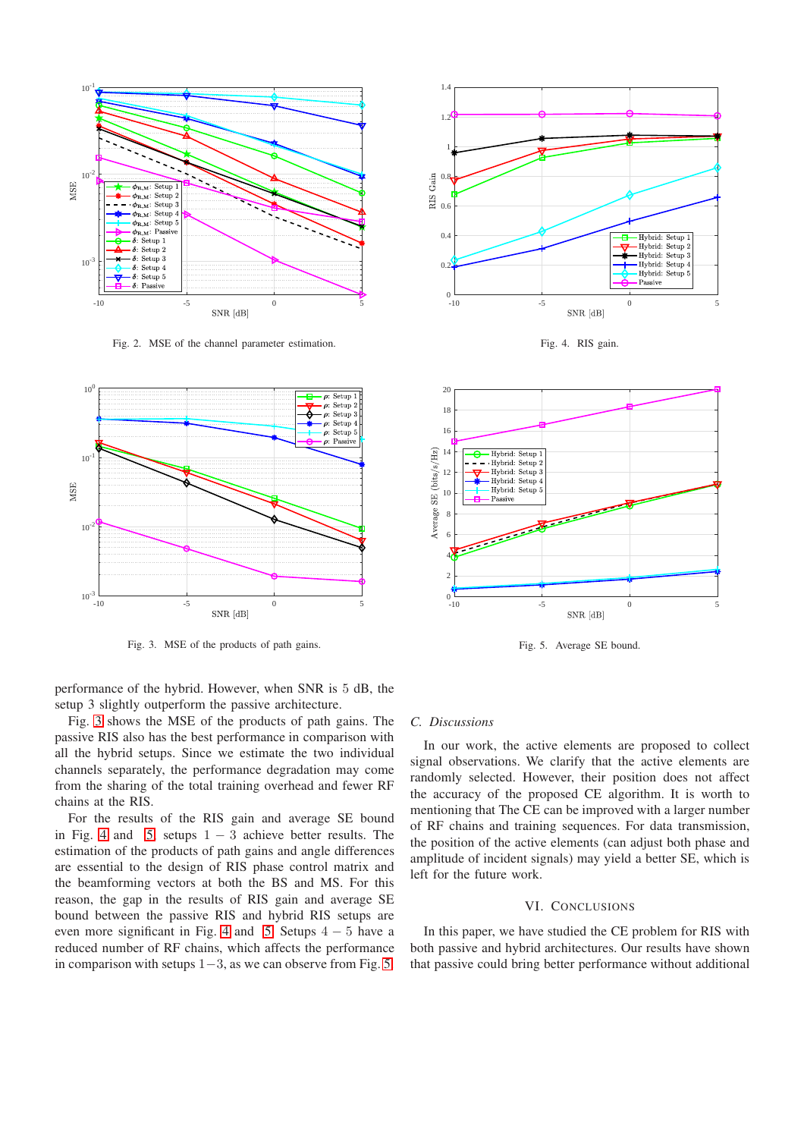

<span id="page-5-1"></span>Fig. 2. MSE of the channel parameter estimation.



<span id="page-5-2"></span>Fig. 3. MSE of the products of path gains.

performance of the hybrid. However, when SNR is 5 dB, the setup 3 slightly outperform the passive architecture.

Fig. [3](#page-5-2) shows the MSE of the products of path gains. The passive RIS also has the best performance in comparison with all the hybrid setups. Since we estimate the two individual channels separately, the performance degradation may come from the sharing of the total training overhead and fewer RF chains at the RIS.

For the results of the RIS gain and average SE bound in Fig. [4](#page-5-3) and [5,](#page-5-4) setups  $1 - 3$  achieve better results. The estimation of the products of path gains and angle differences are essential to the design of RIS phase control matrix and the beamforming vectors at both the BS and MS. For this reason, the gap in the results of RIS gain and average SE bound between the passive RIS and hybrid RIS setups are even more significant in Fig. [4](#page-5-3) and [5.](#page-5-4) Setups  $4 - 5$  have a reduced number of RF chains, which affects the performance in comparison with setups 1−3, as we can observe from Fig. [5.](#page-5-4)



<span id="page-5-3"></span>Fig. 4. RIS gain.



<span id="page-5-4"></span>Fig. 5. Average SE bound.

## *C. Discussions*

In our work, the active elements are proposed to collect signal observations. We clarify that the active elements are randomly selected. However, their position does not affect the accuracy of the proposed CE algorithm. It is worth to mentioning that The CE can be improved with a larger number of RF chains and training sequences. For data transmission, the position of the active elements (can adjust both phase and amplitude of incident signals) may yield a better SE, which is left for the future work.

#### VI. CONCLUSIONS

<span id="page-5-0"></span>In this paper, we have studied the CE problem for RIS with both passive and hybrid architectures. Our results have shown that passive could bring better performance without additional